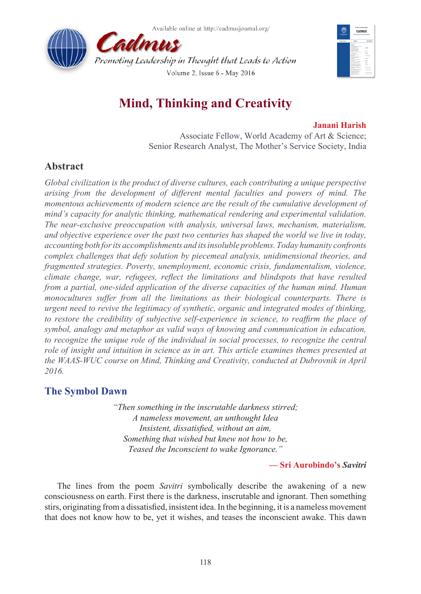



# **Mind, Thinking and Creativity**

### **Janani Harish**

Associate Fellow, World Academy of Art & Science; Senior Research Analyst, The Mother's Service Society, India

## **Abstract**

*Global civilization is the product of diverse cultures, each contributing a unique perspective arising from the development of different mental faculties and powers of mind. The momentous achievements of modern science are the result of the cumulative development of mind's capacity for analytic thinking, mathematical rendering and experimental validation. The near-exclusive preoccupation with analysis, universal laws, mechanism, materialism, and objective experience over the past two centuries has shaped the world we live in today, accounting both for its accomplishments and its insoluble problems. Today humanity confronts complex challenges that defy solution by piecemeal analysis, unidimensional theories, and fragmented strategies. Poverty, unemployment, economic crisis, fundamentalism, violence, climate change, war, refugees, reflect the limitations and blindspots that have resulted from a partial, one-sided application of the diverse capacities of the human mind. Human monocultures suffer from all the limitations as their biological counterparts. There is urgent need to revive the legitimacy of synthetic, organic and integrated modes of thinking,*  to restore the credibility of subjective self-experience in science, to reaffirm the place of *symbol, analogy and metaphor as valid ways of knowing and communication in education, to recognize the unique role of the individual in social processes, to recognize the central role of insight and intuition in science as in art. This article examines themes presented at the WAAS-WUC course on Mind, Thinking and Creativity, conducted at Dubrovnik in April 2016.*

## **The Symbol Dawn**

*"Then something in the inscrutable darkness stirred; A nameless movement, an unthought Idea Insistent, dissatisfied, without an aim, Something that wished but knew not how to be, Teased the Inconscient to wake Ignorance."*

**— Sri Aurobindo's** *Savitri*

The lines from the poem *Savitri* symbolically describe the awakening of a new consciousness on earth. First there is the darkness, inscrutable and ignorant. Then something stirs, originating from a dissatisfied, insistent idea. In the beginning, it is a nameless movement that does not know how to be, yet it wishes, and teases the inconscient awake. This dawn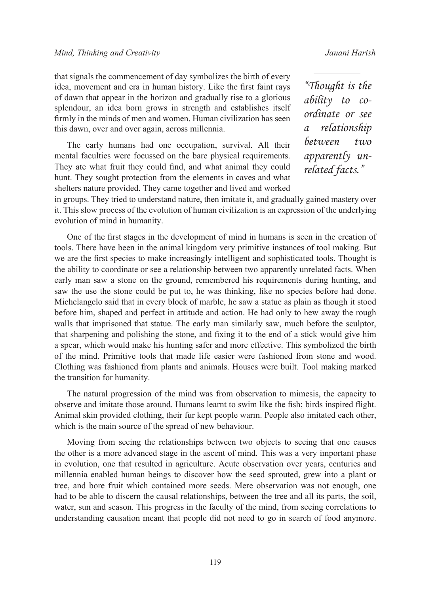that signals the commencement of day symbolizes the birth of every idea, movement and era in human history. Like the first faint rays of dawn that appear in the horizon and gradually rise to a glorious splendour, an idea born grows in strength and establishes itself firmly in the minds of men and women. Human civilization has seen this dawn, over and over again, across millennia.

The early humans had one occupation, survival. All their mental faculties were focussed on the bare physical requirements. They ate what fruit they could find, and what animal they could hunt. They sought protection from the elements in caves and what shelters nature provided. They came together and lived and worked

*"Thought is the ability to coordinate or see a relationship between two apparently unrelated facts."*

in groups. They tried to understand nature, then imitate it, and gradually gained mastery over it. This slow process of the evolution of human civilization is an expression of the underlying evolution of mind in humanity.

One of the first stages in the development of mind in humans is seen in the creation of tools. There have been in the animal kingdom very primitive instances of tool making. But we are the first species to make increasingly intelligent and sophisticated tools. Thought is the ability to coordinate or see a relationship between two apparently unrelated facts. When early man saw a stone on the ground, remembered his requirements during hunting, and saw the use the stone could be put to, he was thinking, like no species before had done. Michelangelo said that in every block of marble, he saw a statue as plain as though it stood before him, shaped and perfect in attitude and action. He had only to hew away the rough walls that imprisoned that statue. The early man similarly saw, much before the sculptor, that sharpening and polishing the stone, and fixing it to the end of a stick would give him a spear, which would make his hunting safer and more effective. This symbolized the birth of the mind. Primitive tools that made life easier were fashioned from stone and wood. Clothing was fashioned from plants and animals. Houses were built. Tool making marked the transition for humanity.

The natural progression of the mind was from observation to mimesis, the capacity to observe and imitate those around. Humans learnt to swim like the fish; birds inspired flight. Animal skin provided clothing, their fur kept people warm. People also imitated each other, which is the main source of the spread of new behaviour.

Moving from seeing the relationships between two objects to seeing that one causes the other is a more advanced stage in the ascent of mind. This was a very important phase in evolution, one that resulted in agriculture. Acute observation over years, centuries and millennia enabled human beings to discover how the seed sprouted, grew into a plant or tree, and bore fruit which contained more seeds. Mere observation was not enough, one had to be able to discern the causal relationships, between the tree and all its parts, the soil, water, sun and season. This progress in the faculty of the mind, from seeing correlations to understanding causation meant that people did not need to go in search of food anymore.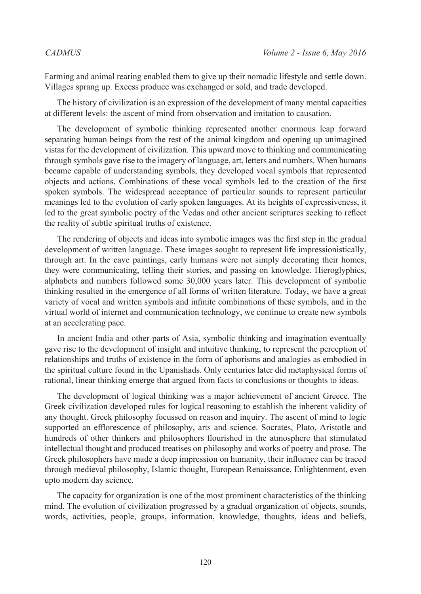Farming and animal rearing enabled them to give up their nomadic lifestyle and settle down. Villages sprang up. Excess produce was exchanged or sold, and trade developed.

The history of civilization is an expression of the development of many mental capacities at different levels: the ascent of mind from observation and imitation to causation.

The development of symbolic thinking represented another enormous leap forward separating human beings from the rest of the animal kingdom and opening up unimagined vistas for the development of civilization. This upward move to thinking and communicating through symbols gave rise to the imagery of language, art, letters and numbers. When humans became capable of understanding symbols, they developed vocal symbols that represented objects and actions. Combinations of these vocal symbols led to the creation of the first spoken symbols. The widespread acceptance of particular sounds to represent particular meanings led to the evolution of early spoken languages. At its heights of expressiveness, it led to the great symbolic poetry of the Vedas and other ancient scriptures seeking to reflect the reality of subtle spiritual truths of existence.

The rendering of objects and ideas into symbolic images was the first step in the gradual development of written language. These images sought to represent life impressionistically, through art. In the cave paintings, early humans were not simply decorating their homes, they were communicating, telling their stories, and passing on knowledge. Hieroglyphics, alphabets and numbers followed some 30,000 years later. This development of symbolic thinking resulted in the emergence of all forms of written literature. Today, we have a great variety of vocal and written symbols and infinite combinations of these symbols, and in the virtual world of internet and communication technology, we continue to create new symbols at an accelerating pace.

In ancient India and other parts of Asia, symbolic thinking and imagination eventually gave rise to the development of insight and intuitive thinking, to represent the perception of relationships and truths of existence in the form of aphorisms and analogies as embodied in the spiritual culture found in the Upanishads. Only centuries later did metaphysical forms of rational, linear thinking emerge that argued from facts to conclusions or thoughts to ideas.

The development of logical thinking was a major achievement of ancient Greece. The Greek civilization developed rules for logical reasoning to establish the inherent validity of any thought. Greek philosophy focussed on reason and inquiry. The ascent of mind to logic supported an efflorescence of philosophy, arts and science. Socrates, Plato, Aristotle and hundreds of other thinkers and philosophers flourished in the atmosphere that stimulated intellectual thought and produced treatises on philosophy and works of poetry and prose. The Greek philosophers have made a deep impression on humanity, their influence can be traced through medieval philosophy, Islamic thought, European Renaissance, Enlightenment, even upto modern day science.

The capacity for organization is one of the most prominent characteristics of the thinking mind. The evolution of civilization progressed by a gradual organization of objects, sounds, words, activities, people, groups, information, knowledge, thoughts, ideas and beliefs,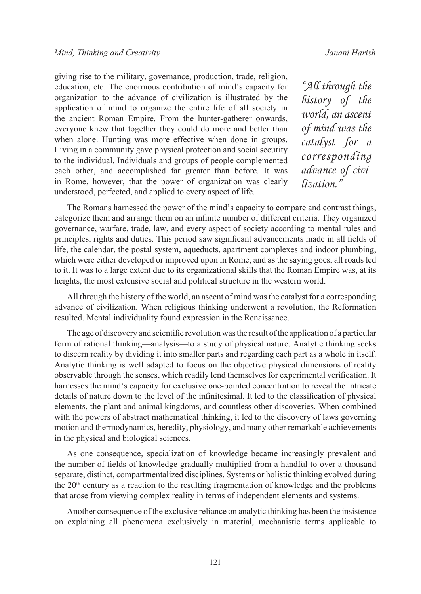giving rise to the military, governance, production, trade, religion, education, etc. The enormous contribution of mind's capacity for organization to the advance of civilization is illustrated by the application of mind to organize the entire life of all society in the ancient Roman Empire. From the hunter-gatherer onwards, everyone knew that together they could do more and better than when alone. Hunting was more effective when done in groups. Living in a community gave physical protection and social security to the individual. Individuals and groups of people complemented each other, and accomplished far greater than before. It was in Rome, however, that the power of organization was clearly understood, perfected, and applied to every aspect of life.

*"All through the history of the world, an ascent of mind was the catalyst for a corresponding advance of civilization."*

The Romans harnessed the power of the mind's capacity to compare and contrast things, categorize them and arrange them on an infinite number of different criteria. They organized governance, warfare, trade, law, and every aspect of society according to mental rules and principles, rights and duties. This period saw significant advancements made in all fields of life, the calendar, the postal system, aqueducts, apartment complexes and indoor plumbing, which were either developed or improved upon in Rome, and as the saying goes, all roads led to it. It was to a large extent due to its organizational skills that the Roman Empire was, at its heights, the most extensive social and political structure in the western world.

All through the history of the world, an ascent of mind was the catalyst for a corresponding advance of civilization. When religious thinking underwent a revolution, the Reformation resulted. Mental individuality found expression in the Renaissance.

The age of discovery and scientific revolution was the result of the application of a particular form of rational thinking—analysis—to a study of physical nature. Analytic thinking seeks to discern reality by dividing it into smaller parts and regarding each part as a whole in itself. Analytic thinking is well adapted to focus on the objective physical dimensions of reality observable through the senses, which readily lend themselves for experimental verification. It harnesses the mind's capacity for exclusive one-pointed concentration to reveal the intricate details of nature down to the level of the infinitesimal. It led to the classification of physical elements, the plant and animal kingdoms, and countless other discoveries. When combined with the powers of abstract mathematical thinking, it led to the discovery of laws governing motion and thermodynamics, heredity, physiology, and many other remarkable achievements in the physical and biological sciences.

As one consequence, specialization of knowledge became increasingly prevalent and the number of fields of knowledge gradually multiplied from a handful to over a thousand separate, distinct, compartmentalized disciplines. Systems or holistic thinking evolved during the  $20<sup>th</sup>$  century as a reaction to the resulting fragmentation of knowledge and the problems that arose from viewing complex reality in terms of independent elements and systems.

Another consequence of the exclusive reliance on analytic thinking has been the insistence on explaining all phenomena exclusively in material, mechanistic terms applicable to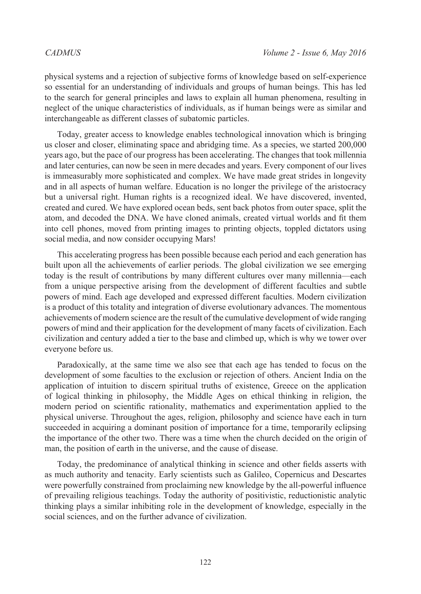physical systems and a rejection of subjective forms of knowledge based on self-experience so essential for an understanding of individuals and groups of human beings. This has led to the search for general principles and laws to explain all human phenomena, resulting in neglect of the unique characteristics of individuals, as if human beings were as similar and interchangeable as different classes of subatomic particles.

Today, greater access to knowledge enables technological innovation which is bringing us closer and closer, eliminating space and abridging time. As a species, we started 200,000 years ago, but the pace of our progress has been accelerating. The changes that took millennia and later centuries, can now be seen in mere decades and years. Every component of our lives is immeasurably more sophisticated and complex. We have made great strides in longevity and in all aspects of human welfare. Education is no longer the privilege of the aristocracy but a universal right. Human rights is a recognized ideal. We have discovered, invented, created and cured. We have explored ocean beds, sent back photos from outer space, split the atom, and decoded the DNA. We have cloned animals, created virtual worlds and fit them into cell phones, moved from printing images to printing objects, toppled dictators using social media, and now consider occupying Mars!

This accelerating progress has been possible because each period and each generation has built upon all the achievements of earlier periods. The global civilization we see emerging today is the result of contributions by many different cultures over many millennia—each from a unique perspective arising from the development of different faculties and subtle powers of mind. Each age developed and expressed different faculties. Modern civilization is a product of this totality and integration of diverse evolutionary advances. The momentous achievements of modern science are the result of the cumulative development of wide ranging powers of mind and their application for the development of many facets of civilization. Each civilization and century added a tier to the base and climbed up, which is why we tower over everyone before us.

Paradoxically, at the same time we also see that each age has tended to focus on the development of some faculties to the exclusion or rejection of others. Ancient India on the application of intuition to discern spiritual truths of existence, Greece on the application of logical thinking in philosophy, the Middle Ages on ethical thinking in religion, the modern period on scientific rationality, mathematics and experimentation applied to the physical universe. Throughout the ages, religion, philosophy and science have each in turn succeeded in acquiring a dominant position of importance for a time, temporarily eclipsing the importance of the other two. There was a time when the church decided on the origin of man, the position of earth in the universe, and the cause of disease.

Today, the predominance of analytical thinking in science and other fields asserts with as much authority and tenacity. Early scientists such as Galileo, Copernicus and Descartes were powerfully constrained from proclaiming new knowledge by the all-powerful influence of prevailing religious teachings. Today the authority of positivistic, reductionistic analytic thinking plays a similar inhibiting role in the development of knowledge, especially in the social sciences, and on the further advance of civilization.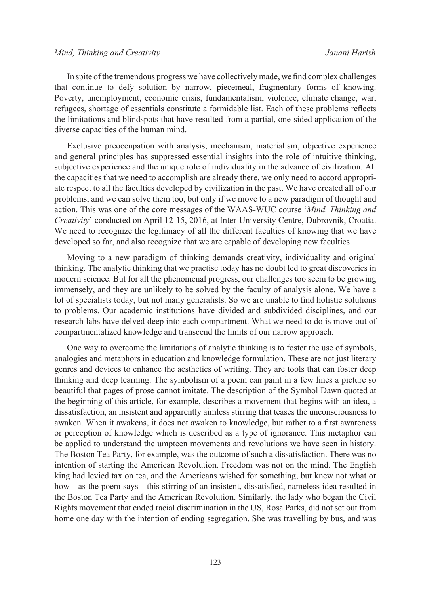In spite of the tremendous progress we have collectively made, we find complex challenges that continue to defy solution by narrow, piecemeal, fragmentary forms of knowing. Poverty, unemployment, economic crisis, fundamentalism, violence, climate change, war, refugees, shortage of essentials constitute a formidable list. Each of these problems reflects the limitations and blindspots that have resulted from a partial, one-sided application of the diverse capacities of the human mind.

Exclusive preoccupation with analysis, mechanism, materialism, objective experience and general principles has suppressed essential insights into the role of intuitive thinking, subjective experience and the unique role of individuality in the advance of civilization. All the capacities that we need to accomplish are already there, we only need to accord appropriate respect to all the faculties developed by civilization in the past. We have created all of our problems, and we can solve them too, but only if we move to a new paradigm of thought and action. This was one of the core messages of the WAAS-WUC course '*Mind, Thinking and Creativity*' conducted on April 12-15, 2016, at Inter-University Centre, Dubrovnik, Croatia. We need to recognize the legitimacy of all the different faculties of knowing that we have developed so far, and also recognize that we are capable of developing new faculties.

Moving to a new paradigm of thinking demands creativity, individuality and original thinking. The analytic thinking that we practise today has no doubt led to great discoveries in modern science. But for all the phenomenal progress, our challenges too seem to be growing immensely, and they are unlikely to be solved by the faculty of analysis alone. We have a lot of specialists today, but not many generalists. So we are unable to find holistic solutions to problems. Our academic institutions have divided and subdivided disciplines, and our research labs have delved deep into each compartment. What we need to do is move out of compartmentalized knowledge and transcend the limits of our narrow approach.

One way to overcome the limitations of analytic thinking is to foster the use of symbols, analogies and metaphors in education and knowledge formulation. These are not just literary genres and devices to enhance the aesthetics of writing. They are tools that can foster deep thinking and deep learning. The symbolism of a poem can paint in a few lines a picture so beautiful that pages of prose cannot imitate. The description of the Symbol Dawn quoted at the beginning of this article, for example, describes a movement that begins with an idea, a dissatisfaction, an insistent and apparently aimless stirring that teases the unconsciousness to awaken. When it awakens, it does not awaken to knowledge, but rather to a first awareness or perception of knowledge which is described as a type of ignorance. This metaphor can be applied to understand the umpteen movements and revolutions we have seen in history. The Boston Tea Party, for example, was the outcome of such a dissatisfaction. There was no intention of starting the American Revolution. Freedom was not on the mind. The English king had levied tax on tea, and the Americans wished for something, but knew not what or how—as the poem says—this stirring of an insistent, dissatisfied, nameless idea resulted in the Boston Tea Party and the American Revolution. Similarly, the lady who began the Civil Rights movement that ended racial discrimination in the US, Rosa Parks, did not set out from home one day with the intention of ending segregation. She was travelling by bus, and was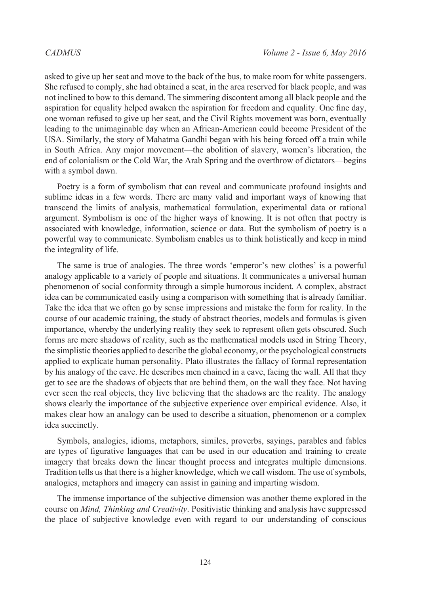asked to give up her seat and move to the back of the bus, to make room for white passengers. She refused to comply, she had obtained a seat, in the area reserved for black people, and was not inclined to bow to this demand. The simmering discontent among all black people and the aspiration for equality helped awaken the aspiration for freedom and equality. One fine day, one woman refused to give up her seat, and the Civil Rights movement was born, eventually leading to the unimaginable day when an African-American could become President of the USA. Similarly, the story of Mahatma Gandhi began with his being forced off a train while in South Africa. Any major movement—the abolition of slavery, women's liberation, the end of colonialism or the Cold War, the Arab Spring and the overthrow of dictators—begins with a symbol dawn.

Poetry is a form of symbolism that can reveal and communicate profound insights and sublime ideas in a few words. There are many valid and important ways of knowing that transcend the limits of analysis, mathematical formulation, experimental data or rational argument. Symbolism is one of the higher ways of knowing. It is not often that poetry is associated with knowledge, information, science or data. But the symbolism of poetry is a powerful way to communicate. Symbolism enables us to think holistically and keep in mind the integrality of life.

The same is true of analogies. The three words 'emperor's new clothes' is a powerful analogy applicable to a variety of people and situations. It communicates a universal human phenomenon of social conformity through a simple humorous incident. A complex, abstract idea can be communicated easily using a comparison with something that is already familiar. Take the idea that we often go by sense impressions and mistake the form for reality. In the course of our academic training, the study of abstract theories, models and formulas is given importance, whereby the underlying reality they seek to represent often gets obscured. Such forms are mere shadows of reality, such as the mathematical models used in String Theory, the simplistic theories applied to describe the global economy, or the psychological constructs applied to explicate human personality. Plato illustrates the fallacy of formal representation by his analogy of the cave. He describes men chained in a cave, facing the wall. All that they get to see are the shadows of objects that are behind them, on the wall they face. Not having ever seen the real objects, they live believing that the shadows are the reality. The analogy shows clearly the importance of the subjective experience over empirical evidence. Also, it makes clear how an analogy can be used to describe a situation, phenomenon or a complex idea succinctly.

Symbols, analogies, idioms, metaphors, similes, proverbs, sayings, parables and fables are types of figurative languages that can be used in our education and training to create imagery that breaks down the linear thought process and integrates multiple dimensions. Tradition tells us that there is a higher knowledge, which we call wisdom. The use of symbols, analogies, metaphors and imagery can assist in gaining and imparting wisdom.

The immense importance of the subjective dimension was another theme explored in the course on *Mind, Thinking and Creativity*. Positivistic thinking and analysis have suppressed the place of subjective knowledge even with regard to our understanding of conscious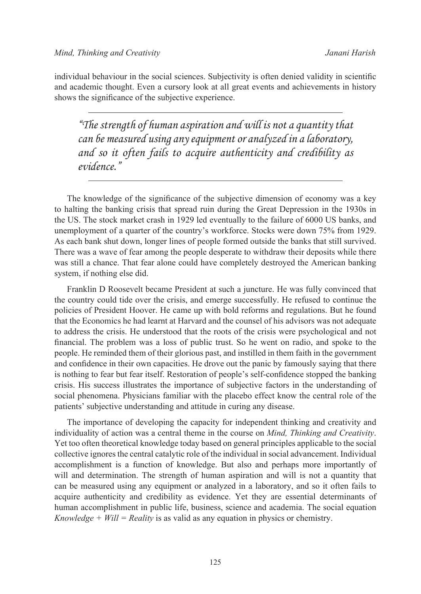individual behaviour in the social sciences. Subjectivity is often denied validity in scientific and academic thought. Even a cursory look at all great events and achievements in history shows the significance of the subjective experience.

*"The strength of human aspiration and will is not a quantity that can be measured using any equipment or analyzed in a laboratory, and so it often fails to acquire authenticity and credibility as evidence."*

The knowledge of the significance of the subjective dimension of economy was a key to halting the banking crisis that spread ruin during the Great Depression in the 1930s in the US. The stock market crash in 1929 led eventually to the failure of 6000 US banks, and unemployment of a quarter of the country's workforce. Stocks were down 75% from 1929. As each bank shut down, longer lines of people formed outside the banks that still survived. There was a wave of fear among the people desperate to withdraw their deposits while there was still a chance. That fear alone could have completely destroyed the American banking system, if nothing else did.

Franklin D Roosevelt became President at such a juncture. He was fully convinced that the country could tide over the crisis, and emerge successfully. He refused to continue the policies of President Hoover. He came up with bold reforms and regulations. But he found that the Economics he had learnt at Harvard and the counsel of his advisors was not adequate to address the crisis. He understood that the roots of the crisis were psychological and not financial. The problem was a loss of public trust. So he went on radio, and spoke to the people. He reminded them of their glorious past, and instilled in them faith in the government and confidence in their own capacities. He drove out the panic by famously saying that there is nothing to fear but fear itself. Restoration of people's self-confidence stopped the banking crisis. His success illustrates the importance of subjective factors in the understanding of social phenomena. Physicians familiar with the placebo effect know the central role of the patients' subjective understanding and attitude in curing any disease.

The importance of developing the capacity for independent thinking and creativity and individuality of action was a central theme in the course on *Mind, Thinking and Creativity*. Yet too often theoretical knowledge today based on general principles applicable to the social collective ignores the central catalytic role of the individual in social advancement. Individual accomplishment is a function of knowledge. But also and perhaps more importantly of will and determination. The strength of human aspiration and will is not a quantity that can be measured using any equipment or analyzed in a laboratory, and so it often fails to acquire authenticity and credibility as evidence. Yet they are essential determinants of human accomplishment in public life, business, science and academia. The social equation *Knowledge + Will = Reality* is as valid as any equation in physics or chemistry.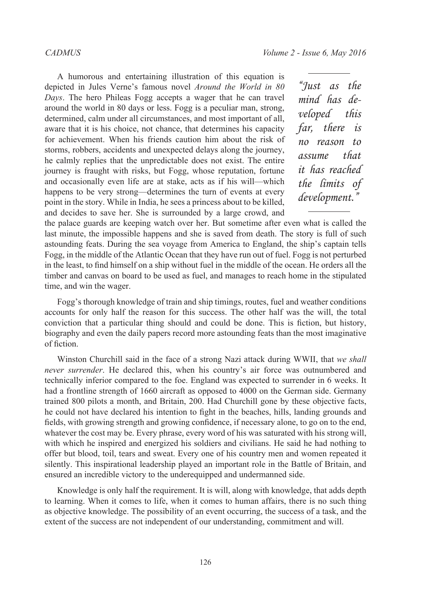A humorous and entertaining illustration of this equation is depicted in Jules Verne's famous novel *Around the World in 80 Days*. The hero Phileas Fogg accepts a wager that he can travel around the world in 80 days or less. Fogg is a peculiar man, strong, determined, calm under all circumstances, and most important of all, aware that it is his choice, not chance, that determines his capacity for achievement. When his friends caution him about the risk of storms, robbers, accidents and unexpected delays along the journey, he calmly replies that the unpredictable does not exist. The entire journey is fraught with risks, but Fogg, whose reputation, fortune and occasionally even life are at stake, acts as if his will—which happens to be very strong—determines the turn of events at every point in the story. While in India, he sees a princess about to be killed, and decides to save her. She is surrounded by a large crowd, and

*"Just as the mind has developed this far, there is no reason to assume that it has reached the limits of*   $development.$ 

the palace guards are keeping watch over her. But sometime after even what is called the last minute, the impossible happens and she is saved from death. The story is full of such astounding feats. During the sea voyage from America to England, the ship's captain tells Fogg, in the middle of the Atlantic Ocean that they have run out of fuel. Fogg is not perturbed in the least, to find himself on a ship without fuel in the middle of the ocean. He orders all the timber and canvas on board to be used as fuel, and manages to reach home in the stipulated time, and win the wager.

Fogg's thorough knowledge of train and ship timings, routes, fuel and weather conditions accounts for only half the reason for this success. The other half was the will, the total conviction that a particular thing should and could be done. This is fiction, but history, biography and even the daily papers record more astounding feats than the most imaginative of fiction.

Winston Churchill said in the face of a strong Nazi attack during WWII, that *we shall never surrender*. He declared this, when his country's air force was outnumbered and technically inferior compared to the foe. England was expected to surrender in 6 weeks. It had a frontline strength of 1660 aircraft as opposed to 4000 on the German side. Germany trained 800 pilots a month, and Britain, 200. Had Churchill gone by these objective facts, he could not have declared his intention to fight in the beaches, hills, landing grounds and fields, with growing strength and growing confidence, if necessary alone, to go on to the end, whatever the cost may be. Every phrase, every word of his was saturated with his strong will, with which he inspired and energized his soldiers and civilians. He said he had nothing to offer but blood, toil, tears and sweat. Every one of his country men and women repeated it silently. This inspirational leadership played an important role in the Battle of Britain, and ensured an incredible victory to the underequipped and undermanned side.

Knowledge is only half the requirement. It is will, along with knowledge, that adds depth to learning. When it comes to life, when it comes to human affairs, there is no such thing as objective knowledge. The possibility of an event occurring, the success of a task, and the extent of the success are not independent of our understanding, commitment and will.